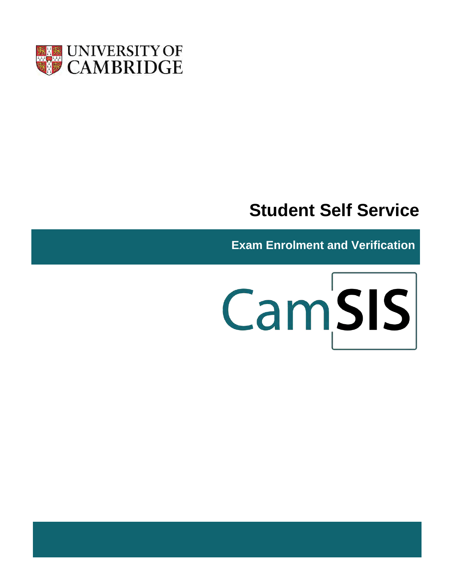

# **Student Self Service**

**Exam Enrolment and Verification**

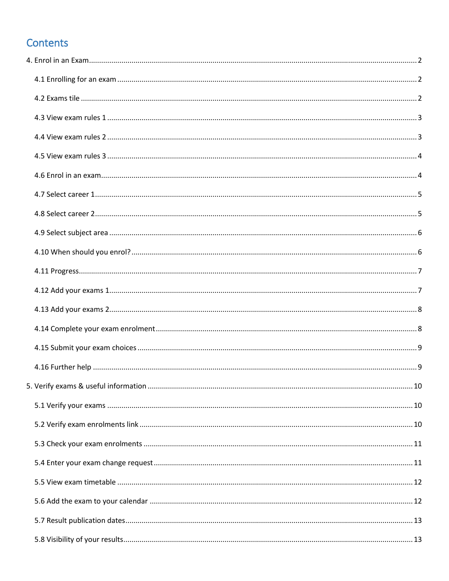# Contents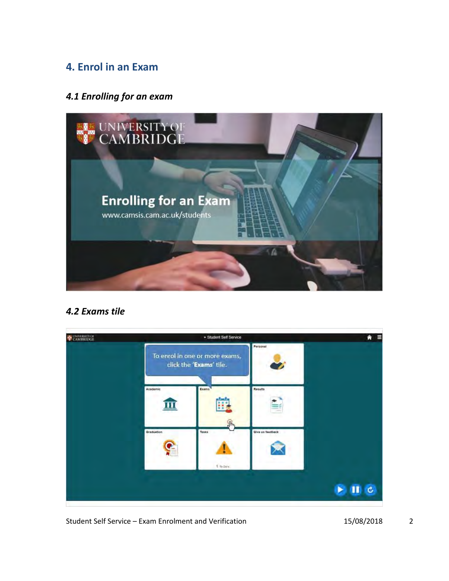# <span id="page-4-0"></span>**4. Enrol in an Exam**

#### <span id="page-4-1"></span>*4.1 Enrolling for an exam*



#### <span id="page-4-2"></span>*4.2 Exams tile*

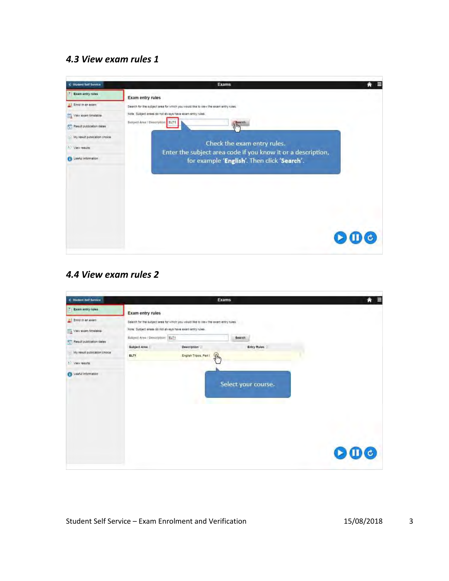### <span id="page-5-0"></span>*4.3 View exam rules 1*



#### <span id="page-5-1"></span>*4.4 View exam rules 2*

| C Student Self Service       |                                                 |                                                                                    | <b>Exams</b>                 | Ε<br>A |
|------------------------------|-------------------------------------------------|------------------------------------------------------------------------------------|------------------------------|--------|
| T Exam entry rules           | <b>Exam entry rules</b>                         |                                                                                    |                              |        |
| Enrol in an exam             |                                                 | Search for the subject area for which you would like to view the exam entry rules. |                              |        |
| View sxam timetable          |                                                 | Note: Subject areas do not always have exam entry rules.                           |                              |        |
| Result publication dates     | Subject Area / Description ELT1<br>Subject Area | <b>Description</b>                                                                 | Search<br><b>Entry Rules</b> |        |
| My result publication choice | ELT1                                            | $\mathcal{P}$<br>English Tripos, Part I                                            |                              |        |
| * View results               |                                                 |                                                                                    |                              |        |
| <b>B</b> Useful information  |                                                 |                                                                                    | Select your course.          |        |
|                              |                                                 |                                                                                    |                              | 000    |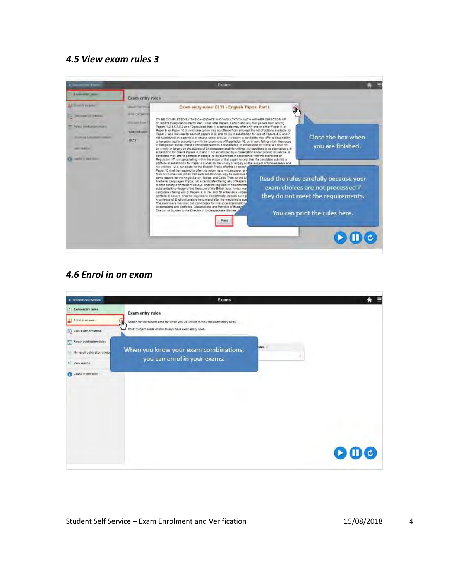#### <span id="page-6-0"></span>*4.5 View exam rules 3*



#### <span id="page-6-1"></span>*4.6 Enrol in an exam*

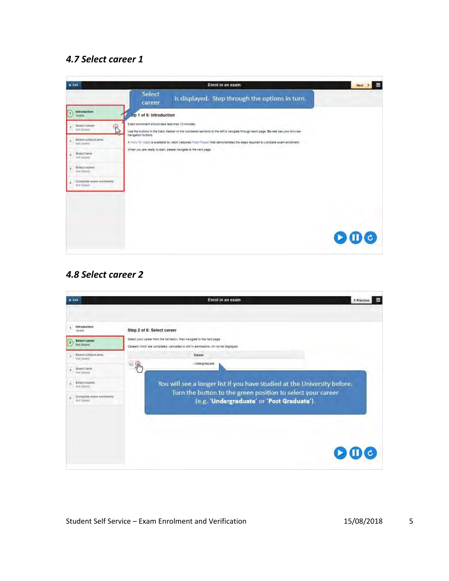## <span id="page-7-0"></span>*4.7 Select career 1*

| <b>X Exit</b>                              | Enrol in an exam                                                                                                                                                                                            | Е<br>Next > |
|--------------------------------------------|-------------------------------------------------------------------------------------------------------------------------------------------------------------------------------------------------------------|-------------|
|                                            | Select<br>is displayed. Step through the options in turn.<br>career                                                                                                                                         |             |
| introduction<br><b>Multed</b>              | .ep 1 of 6: Introduction                                                                                                                                                                                    |             |
| Seiect career<br>R<br>N/X Starked          | Exam enrolment should take less than 10 minutes.<br>Lise the buttons in the black header or the numbered sections to the left to navigate through each page. Do not use your browser<br>nevigation buttons. |             |
| Seject subject area.<br>Not Started        | A 'How-To' viced is available to watch (requires Filesh Player) that demonstrates the steps required to complete exam enrolment.                                                                            |             |
| Select form<br>rest Santasi                | When you are ready to start, please navigate to the next page.                                                                                                                                              |             |
| Select exams<br>ĸ<br>Not Storing           |                                                                                                                                                                                                             |             |
| Complete exam enrolment<br>R.<br>Not'Stand |                                                                                                                                                                                                             |             |
|                                            |                                                                                                                                                                                                             |             |
|                                            |                                                                                                                                                                                                             |             |
|                                            |                                                                                                                                                                                                             |             |
|                                            |                                                                                                                                                                                                             | 000         |

### <span id="page-7-1"></span>*4.8 Select career 2*

| <b>X Exit</b>                                                                                                                                                                                                                           | Enrol in an exam<br>< Previous                                                                                                                                                                                                                                                                                                                                                                                            |  |
|-----------------------------------------------------------------------------------------------------------------------------------------------------------------------------------------------------------------------------------------|---------------------------------------------------------------------------------------------------------------------------------------------------------------------------------------------------------------------------------------------------------------------------------------------------------------------------------------------------------------------------------------------------------------------------|--|
| Introduction<br><b>Visitort</b><br>Select career<br>$\overline{ }$<br>NV Stroyd<br>Seject subject area.<br>a<br>Not Started<br>Select ferm<br>Not Sunnial<br>Select exams<br>5<br>Not-Storing<br>Complete exam enrolment<br>Not'Started | Step 2 of 6: Select career<br>Select your career from the list below, then navigate to the next page.<br>Careers which are completed, cancelled or still in admissions will not be displayed.<br>Career<br>Undergraduate<br>୍ୱାଳ<br>You will see a longer list if you have studied at the University before.<br>Turn the button to the green position to select your career<br>(e.g. 'Undergraduate' or 'Post Graduate'). |  |
|                                                                                                                                                                                                                                         |                                                                                                                                                                                                                                                                                                                                                                                                                           |  |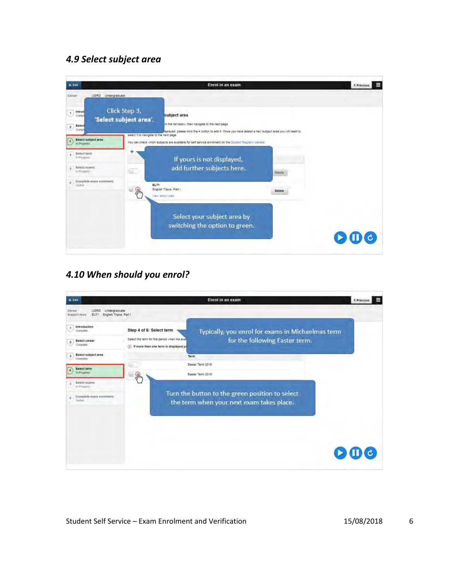#### <span id="page-8-0"></span>*4.9 Select subject area*



### <span id="page-8-1"></span>*4.10 When should you enrol?*

| <b>X</b> Exit                                                                       | Enrol in an exam                                                                                                                                                                                             | E<br>< Previous |
|-------------------------------------------------------------------------------------|--------------------------------------------------------------------------------------------------------------------------------------------------------------------------------------------------------------|-----------------|
| Undergraduate<br>UGRD<br>Career<br>English Tripos, Part I<br>Subject Area<br>ELT1   |                                                                                                                                                                                                              |                 |
| Introduction<br>Complete<br>Select career<br>$\overline{2}$<br>Complete             | Step 4 of 6: Select term<br>Typically, you enrol for exams in Michaelmas term<br>Select the term for the period when the exal<br>for the following Easter term.<br>(1) If more than one term is displayed yo |                 |
| Select subject area<br>3<br>Complete.<br>Select term<br>In Frouriess                | Term<br>Easter Term 2018<br>Easter Term 2019                                                                                                                                                                 |                 |
| Select exams<br>n.<br>In Printers.<br>Complete exam enrolment<br>6<br><b>United</b> | ୍ବାଳ<br>Turn the button to the green position to select<br>the term when your next exam takes place.                                                                                                         |                 |
|                                                                                     |                                                                                                                                                                                                              | (c)             |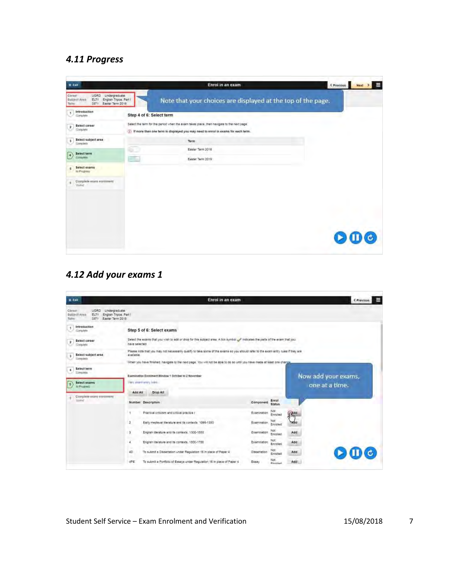### <span id="page-9-0"></span>*4.11 Progress*

| <b>X</b> Exit                                                                                                                |                          | Enrol in an exam                                                                                                                                                                   | Е<br>< Previous<br>Next > |
|------------------------------------------------------------------------------------------------------------------------------|--------------------------|------------------------------------------------------------------------------------------------------------------------------------------------------------------------------------|---------------------------|
| Carago<br><b>UGRD</b><br>Undergraduate<br>Subject Area<br>ELTY<br>English Tripos, Part I<br>Easter Term 2019<br>3371<br>Turm |                          | Note that your choices are displayed at the top of the page.                                                                                                                       |                           |
| Introduction<br>٠<br>Complete                                                                                                | Step 4 of 6: Select term |                                                                                                                                                                                    |                           |
| Seiect career<br>2<br>Complete                                                                                               |                          | Select the term for the period when the exam takes place, then navigate to the next page.<br>(ii) If more than one ferm is displayed you may need to enrol in exams for each term. |                           |
| Select subject area<br>$\overline{\mathbf{3}}$<br>Complete                                                                   |                          | Term                                                                                                                                                                               |                           |
| Select term<br>$\ddot{\phantom{1}}$<br>Complete                                                                              | a t<br>m                 | Easter Term 2018<br>Easter Term 2019                                                                                                                                               |                           |
| Select exams<br>5<br>In Progress-                                                                                            |                          |                                                                                                                                                                                    |                           |
| Complete exam enrolment<br>6<br><b>Museum</b>                                                                                |                          |                                                                                                                                                                                    |                           |
|                                                                                                                              |                          |                                                                                                                                                                                    |                           |
|                                                                                                                              |                          |                                                                                                                                                                                    | 000                       |

# <span id="page-9-1"></span>*4.12 Add your exams 1*

| <b>K Exit</b>                                                                                                                 | Enrol in an exam                                                                                                                                                                                                                                                             |                                                               |                | Е<br>< Previous                       |
|-------------------------------------------------------------------------------------------------------------------------------|------------------------------------------------------------------------------------------------------------------------------------------------------------------------------------------------------------------------------------------------------------------------------|---------------------------------------------------------------|----------------|---------------------------------------|
| <b>Undergraduate</b><br>Cirken<br>LIGRD<br>Subwat Area<br>English Tripos, Part I<br>ELTI<br>Easter Term 2019<br>3371<br>Tuyyu |                                                                                                                                                                                                                                                                              |                                                               |                |                                       |
| Introduction<br>٠<br>Complete                                                                                                 | Step 5 of 6: Select exams                                                                                                                                                                                                                                                    |                                                               |                |                                       |
| Select career<br>$\overline{\mathbf{z}}$<br>Complete                                                                          | Select the exams that you wish to add or drop for this subject area. A tick symbol of indicates the parts of the exam that you<br>have selected.                                                                                                                             |                                                               |                |                                       |
| Select subject area<br>э<br><b>Complete</b>                                                                                   | Please note that you may not necessarily qualify to take some of the exams so you should refer to the exam entry rules if they are<br>available<br>When you have finished, navigate to the next page. You will not be able to do so until you neve mede at least one change. |                                                               |                |                                       |
| Sélect term<br>×<br><b>Complete</b><br>Select exams<br>s<br>In Progress                                                       | Examination Enrolment Window 1 October to 2 November<br>View strant analy Jubit.                                                                                                                                                                                             |                                                               |                | Now add your exams,<br>one at a time. |
| Complete exam enrolment<br><b><i><u>Unidief</u></i></b>                                                                       | Add All<br>Drop All                                                                                                                                                                                                                                                          | Enroll                                                        |                |                                       |
|                                                                                                                               | Number Description<br>Practical criticism and critical practice I                                                                                                                                                                                                            | Component<br><b>Status</b><br>Not-<br>Examination<br>Enrolled | Phy            |                                       |
|                                                                                                                               | $\overline{a}$<br>Early medieval iterature and its contexts 1066-1350                                                                                                                                                                                                        | Examination<br>Enrolled                                       | <b>Address</b> |                                       |
|                                                                                                                               | English liberature and its contexts, 1300-1550.<br>$\mathbf{a}$                                                                                                                                                                                                              | Not<br>Examination<br>Enrolled                                | Add            |                                       |
|                                                                                                                               | English literature and its contexts, 1800-1700.<br>4                                                                                                                                                                                                                         | Not<br>Examination<br>Enrolled                                | Add            |                                       |
|                                                                                                                               | 40<br>To submit a Dissenation under Regulation 16 in place of Paper 4                                                                                                                                                                                                        | Not<br>Dissertation<br>Enrolled                               | Add            | $\mathbf{O} \mathbf{O}$ $\mathbf{O}$  |
|                                                                                                                               | 4PE<br>To submit a Portfolio of Essays under Regulation 16 in place of Paper 4                                                                                                                                                                                               | Not.<br>Essay<br>Perellan                                     | Add            |                                       |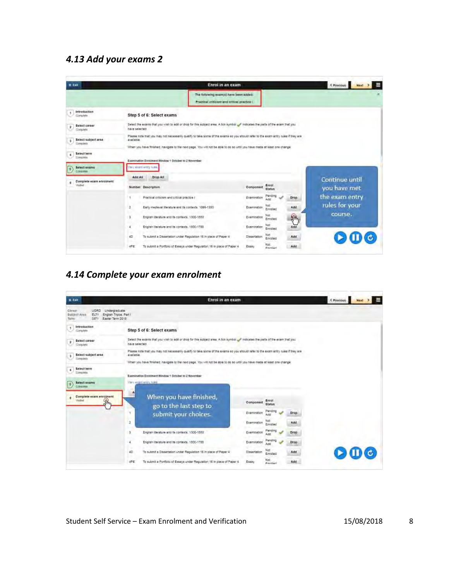#### <span id="page-10-0"></span>*4.13 Add your exams 2*

| <b>W Exit</b>                            | Enrol in an exam                                                                                                                                                                                                                                                             |                                        | < Previous                     |
|------------------------------------------|------------------------------------------------------------------------------------------------------------------------------------------------------------------------------------------------------------------------------------------------------------------------------|----------------------------------------|--------------------------------|
|                                          | The following exam(s) have been added:<br>Practical criticism and critical practice i                                                                                                                                                                                        |                                        |                                |
| Introduction<br>Complete                 | Step 5 of 6: Select exams                                                                                                                                                                                                                                                    |                                        |                                |
| Select career<br>2<br>Complete           | Select the exams that you wish to add or drop for this subject area. A tick symbol of indicates the parts of the exam that you<br>have selected                                                                                                                              |                                        |                                |
| Select subject area<br>3<br>Complete     | Please note that you may not necessarily qualify to take some of the exams so you should refer to the exam entry rules if they are<br>avaliable<br>When you have finished, navigate to the next page. You will not be able to do so until you nave made at least one change. |                                        |                                |
| Select term<br>Complete                  | Examination Enrolment Window 1 October to 2 November                                                                                                                                                                                                                         |                                        |                                |
| Select exams<br>B<br>Commisse            | We enam witry rules                                                                                                                                                                                                                                                          |                                        |                                |
| Complete exam enrolment<br><b>Aubert</b> | Add All<br>Drop All<br>Number Description                                                                                                                                                                                                                                    | Enro!<br>Component<br><b>Status</b>    | Continue until<br>you have met |
|                                          | Practical criticism and critical practice I<br>٠                                                                                                                                                                                                                             | Pending.<br>Drop<br>Examination        | the exam entry                 |
|                                          | Early medieval iterature and its contexts 1066-1350<br>$\overline{a}$                                                                                                                                                                                                        | Ná!<br>Add<br>Examination<br>Errolled  | rules for your                 |
|                                          | ı<br>English literature and its contexts, 1300-1550.                                                                                                                                                                                                                         | Nat<br>Althy<br>Exampation<br>Enrolled | course.                        |
|                                          | English literature and its contexts, 1500-1700.<br>$\overline{4}$                                                                                                                                                                                                            | Not<br>Add<br>Examination<br>Enrolled. |                                |
|                                          | 40<br>To submit a Dissenation under Regulation 16 in place of Paper 4                                                                                                                                                                                                        | Not<br>Add<br>Dissertation<br>Enrolled | $\blacksquare$                 |
|                                          | 4PE<br>To submit a Portfolio of Essays under Regulation 16 in place of Paper 4                                                                                                                                                                                               | Not.<br>Add<br>Essay<br>Fremlight      |                                |

#### <span id="page-10-1"></span>*4.14 Complete your exam enrolment*

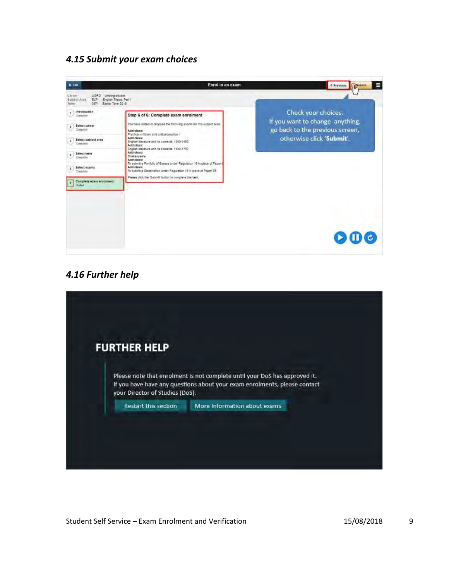#### <span id="page-11-0"></span>*4.15 Submit your exam choices*



#### <span id="page-11-1"></span>*4.16 Further help*

| <b>FURTHER HELP</b>             |                                                                                                                                                         |
|---------------------------------|---------------------------------------------------------------------------------------------------------------------------------------------------------|
| your Director of Studies (DoS). | Please note that enrolment is not complete until your DoS has approved it.<br>If you have have any questions about your exam enrolments, please contact |
| Restart this section            | More Information about exams                                                                                                                            |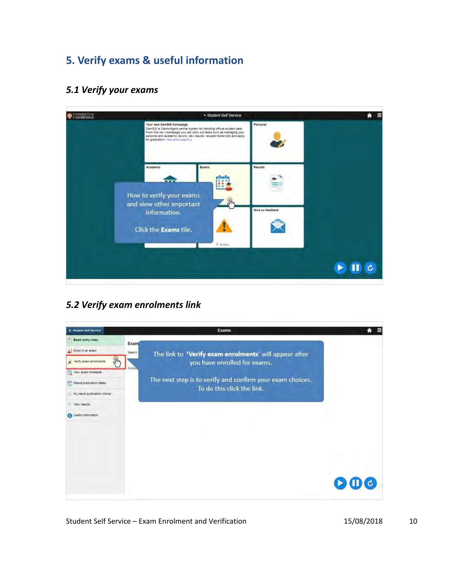# <span id="page-12-0"></span>**5. Verify exams & useful information**

#### <span id="page-12-1"></span>*5.1 Verify your exams*

| UNIVERSITY OF<br>CAMBRIDGE | · Student Self Service                                                                                                                                                                                                                                                                          |                  |  |
|----------------------------|-------------------------------------------------------------------------------------------------------------------------------------------------------------------------------------------------------------------------------------------------------------------------------------------------|------------------|--|
|                            | Your new CamSIS homepage<br>CamSIS is Cambridge's central system for handling official student data.<br>From this new homepage you can carry out tasks such as managing your<br>personal and academic record, view results request transcripts and apply<br>for graduation. malp and support of | Personal         |  |
|                            | Academic<br>Exams<br>How to verify your exams                                                                                                                                                                                                                                                   | Results          |  |
|                            | 4h<br>and view other important<br>information.<br>Click the Exams tile.                                                                                                                                                                                                                         | Give us feedback |  |
|                            | 1 to Dos                                                                                                                                                                                                                                                                                        |                  |  |

# <span id="page-12-2"></span>*5.2 Verify exam enrolments link*

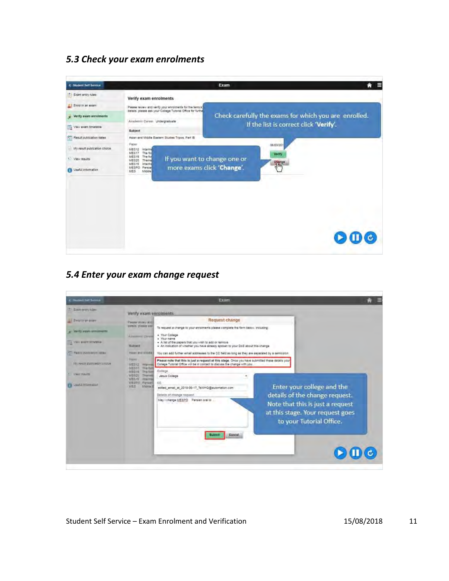#### <span id="page-13-0"></span>*5.3 Check your exam enrolments*



#### <span id="page-13-1"></span>*5.4 Enter your exam change request*

| C. Stadent SAP Symbol            |                                                                                                      | Exam                                                                                                                                                                                                   |                                                                                                                                                                  |  |
|----------------------------------|------------------------------------------------------------------------------------------------------|--------------------------------------------------------------------------------------------------------------------------------------------------------------------------------------------------------|------------------------------------------------------------------------------------------------------------------------------------------------------------------|--|
| * Sathroney rules                | Verify exam enrolments                                                                               |                                                                                                                                                                                                        |                                                                                                                                                                  |  |
| Enterin an exam                  | Please inversional<br><b>JEROIA</b> , <i>piesse with</i>                                             | Request change<br>To request a change to your enrolments please complete the form below, including:                                                                                                    |                                                                                                                                                                  |  |
| writy num erromants              | <b><i><u>Acoustoric Career</u></i></b>                                                               | · Your College<br>· Your name                                                                                                                                                                          |                                                                                                                                                                  |  |
| L. Melli elant printatie         | Subject                                                                                              | . A list of the papers that you wish to add or remove<br>. An indication of whether you have already spoken to your DoB about this change                                                              |                                                                                                                                                                  |  |
| The main publication called      | Akker and Allodia.<br><b>Display</b>                                                                 | You can add further email addresses to the CC field as long as they are separated by a semicolon.<br>Please note that this is just a request at this stage. Once you have submitted these details your |                                                                                                                                                                  |  |
| My result publication choise     | MES12 INNIVING<br><b>INESSIE</b><br>The fam                                                          | College Tutorial Office will be in contact to discuss the change with you                                                                                                                              |                                                                                                                                                                  |  |
| Maxi 199215                      | MESVA<br><b>TRA TITTE</b><br>MES20<br><b>Themas</b><br>MES <sub>N</sub> S<br><b>THEIR TELEVISION</b> | College<br>Jesus College<br>$\mathbf{r}_1$                                                                                                                                                             |                                                                                                                                                                  |  |
| <b>IN THE PROTECTIVE SUBJECT</b> | <b>MESOS Wersen</b><br><b>MEE</b><br>Middle III                                                      | CC.<br>edited_email_at_2015-06-17_TsWHQ@automation.com<br>Details of change request<br>May I change MESPO Persian oral to .                                                                            | Enter your college and the<br>details of the change request.<br>Note that this is just a request<br>at this stage. Your request goes<br>to your Tutorial Office. |  |
|                                  |                                                                                                      | Cancel<br>Submit                                                                                                                                                                                       |                                                                                                                                                                  |  |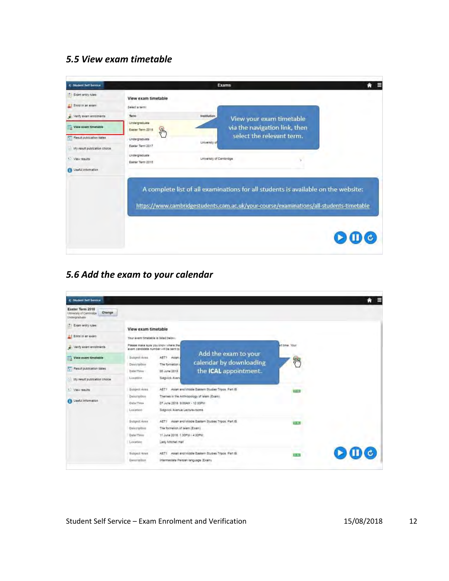# <span id="page-14-0"></span>*5.5 View exam timetable*

| <b>C. Student Self Service</b>                                                                                       | <b>Exams</b>                                                                                                                                                                                                                                                              | A |
|----------------------------------------------------------------------------------------------------------------------|---------------------------------------------------------------------------------------------------------------------------------------------------------------------------------------------------------------------------------------------------------------------------|---|
| El Exam entry rules<br>Enrol in an exam<br>Verify exam enrolments<br>View exam timetable<br>Result publication dates | View exam timetable<br>Select a term:<br>Term<br>Institution<br>View your exam timetable<br>Undergraduate<br>via the navigation link, then<br>$\mathcal{P}$<br>Easter Term 2018<br>select the relevant term.<br>Undergraduate<br><b>University of</b><br>Easter Term 2017 |   |
| My result publication choice.<br>* View results<br><b>Call Useful information</b>                                    | Undergraduate<br>University of Cambridge<br>Easter Term 2015<br>A complete list of all examinations for all students is available on the website:                                                                                                                         |   |
|                                                                                                                      | https://www.cambridgestudents.cam.ac.uk/your-course/examinations/all-students-timetable                                                                                                                                                                                   |   |

# <span id="page-14-1"></span>*5.6 Add the exam to your calendar*

| C Student Sett Service                                                 |                                                                                                               |                                                       |               | А                       |
|------------------------------------------------------------------------|---------------------------------------------------------------------------------------------------------------|-------------------------------------------------------|---------------|-------------------------|
| Easter Term 2018<br>Change<br>University of Centridde<br>Undergraduate |                                                                                                               |                                                       |               |                         |
| Exam entry rules                                                       | View exam timetable                                                                                           |                                                       |               |                         |
| Enrol in an exam                                                       | Your exam timetable is listed below.                                                                          |                                                       |               |                         |
| Verify exem enroments                                                  | Please make sure you know where the<br>exam candidate number will be sent to                                  |                                                       | Indy ame.htm  |                         |
| View exam timetable                                                    | AET1 Asian<br>Subject Area                                                                                    | Add the exam to your<br>calendar by downloading       | <b>JIM</b>    |                         |
| Result publication dates                                               | The formation<br>Description<br>D5 June 2018<br>Date/Time                                                     | the ICAL appointment.                                 |               |                         |
| My result publication choice                                           | Sidgwick Aven.<br>Location                                                                                    |                                                       |               |                         |
| * View results                                                         | Sunject Area                                                                                                  | AET1 Asian and Middle Eastern Studies Tripos. Part iB | <b>TELETI</b> |                         |
| <b>B</b> Useful information                                            | Description<br>07 June 2018 9:00AM - 12:00PM<br>Dide/Time<br>Location<br><b>Sidgwick Avenue Lecture-rooms</b> | Themes in the Anthropology of Islam (Exam).           |               |                         |
|                                                                        | Subject Area                                                                                                  | AET1 Asian and Middle Eastern Studies Tripps. Part IB | <b>BEAL</b>   |                         |
|                                                                        | The formation of Islam (Exam)<br>Description                                                                  |                                                       |               |                         |
|                                                                        | 11 June 2018: 1.30PM - 4.30PM<br>Data/Time                                                                    |                                                       |               |                         |
|                                                                        | Lady Mitchell Hall<br>Location                                                                                |                                                       |               |                         |
|                                                                        | Sixtyact Area                                                                                                 | AET1 Asian and Middle Eastern Studies Tripos, Part IS | $71 - 51$     | $\mathbf{D} \mathbf{C}$ |
|                                                                        | Intermediate Persian language (Exam)<br>Description                                                           |                                                       |               |                         |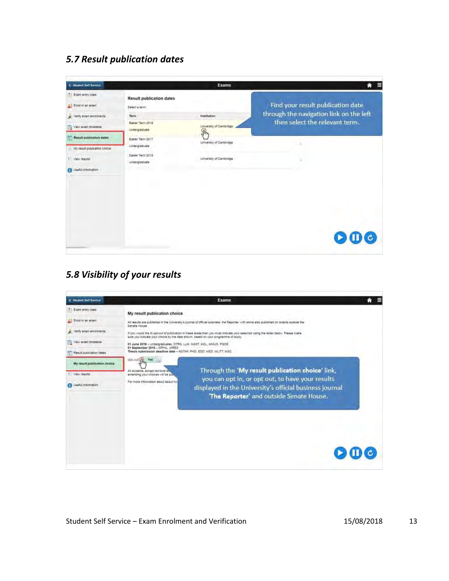#### <span id="page-15-0"></span>*5.7 Result publication dates*

| <b>C. Student Self Service</b>           |                                                   | <b>Exams</b>                             | $\equiv$<br>舎                           |
|------------------------------------------|---------------------------------------------------|------------------------------------------|-----------------------------------------|
| El Exam entry rules<br>Enroll in an exam | <b>Result publication dates</b><br>Select a term: |                                          | Find your result publication date       |
| verty exam enrolments                    | Term                                              | Institution                              | through the navigation link on the left |
| 12 View exam timetable                   | Easter Term 2018<br>Undergraduate                 | University of Cambridge<br>$\mathcal{P}$ | then select the relevant term.          |
| Result publication dates                 | Easter Term 2017<br>Undergraduate                 | Liniversity of Cambridge                 | ö.                                      |
| My result publication choice             | Easter Term 2015                                  |                                          |                                         |
| * View results                           | Undergraduate                                     | University of Cambridge                  | ¥                                       |
| <b>California</b> Lise N.                |                                                   |                                          |                                         |
|                                          |                                                   |                                          |                                         |
|                                          |                                                   |                                          |                                         |
|                                          |                                                   |                                          |                                         |
|                                          |                                                   |                                          | $\mathbf{D} \mathbf{O}$                 |
|                                          |                                                   |                                          |                                         |

### <span id="page-15-1"></span>*5.8 Visibility of your results*

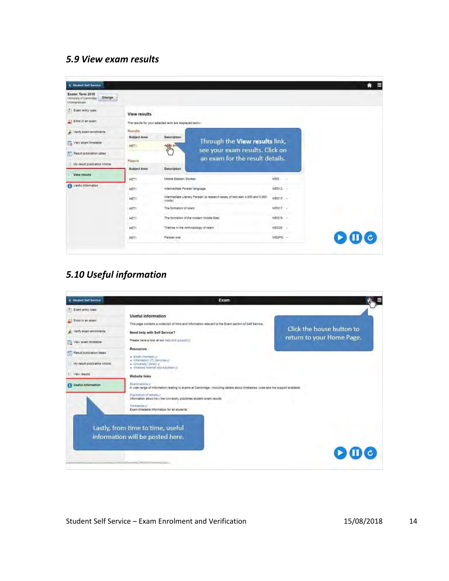### <span id="page-16-0"></span>*5.9 View exam results*

| C Student Self Service                                               |                                                         |                                                                    |                                                                            |           |  | Е<br>m |  |
|----------------------------------------------------------------------|---------------------------------------------------------|--------------------------------------------------------------------|----------------------------------------------------------------------------|-----------|--|--------|--|
| Easter Term 2018<br>Change<br>Unnesity of Centrodox<br>Undergraduate |                                                         |                                                                    |                                                                            |           |  |        |  |
| Exam entry rules                                                     | View results                                            |                                                                    |                                                                            |           |  |        |  |
| Enrol in an exam                                                     | The results for your selected term are displayed below. |                                                                    |                                                                            |           |  |        |  |
| w Verdy exam enrotrients                                             | Results<br><b>Subject Area</b>                          | Description                                                        | Through the View results link,                                             |           |  |        |  |
| View exam timetable                                                  | AET1                                                    | $\frac{1}{2}$                                                      |                                                                            |           |  |        |  |
| Result publication dates                                             | Papers                                                  | see your exam results. Click on<br>an exam for the result details. |                                                                            |           |  |        |  |
| My result publication choice                                         | Subject Area                                            | Description                                                        |                                                                            |           |  |        |  |
| - Mew results                                                        | AET1                                                    | Middle Eastern Studies                                             |                                                                            | MES.      |  |        |  |
| <b>Controller Street</b>                                             | AET1                                                    | Intermediate Persian language                                      |                                                                            | MES12 -   |  |        |  |
|                                                                      | AET1                                                    | words!                                                             | Intermediate Literary Persian (a research essay of between 4.500 and 5.000 | $MES15 -$ |  |        |  |
|                                                                      | AET1                                                    | The formation of Islam                                             |                                                                            | MES17 -   |  |        |  |
|                                                                      | AET1                                                    |                                                                    | The formation of the modern Middle East.                                   | MES19 -   |  |        |  |
|                                                                      | w.<br>AET1                                              | Themes in the Anthropology of Islam                                |                                                                            | ME520 -   |  |        |  |
|                                                                      | ABT1                                                    | Persian oral                                                       |                                                                            | MESPO -   |  |        |  |

# <span id="page-16-1"></span>*5.10 Useful information*

| C Student Self Service        | Exam                                                                                                                                                                              |                           |
|-------------------------------|-----------------------------------------------------------------------------------------------------------------------------------------------------------------------------------|---------------------------|
| Exam entry rules              | <b>Useful information</b>                                                                                                                                                         |                           |
| Enrol in an exam              | This page contains a collection of links and information relevant to the Exem section of Self Service.                                                                            |                           |
| - Verify exam enrolments      | Need help with Self Service?                                                                                                                                                      | Click the house button to |
| 12 View exam timetable        | Please have a look at our help end support of                                                                                                                                     | return to your Home Page. |
| Result publication dates      | <b>Resources</b><br>· Email (Farmee) (8)                                                                                                                                          |                           |
| My result publication choice. | + Information (iT) Services in<br>. University Library is<br>- Windlass internet and eduroare it.                                                                                 |                           |
| View results                  | Website links                                                                                                                                                                     |                           |
| <b>G</b> Useful information   | Exeminationalist<br>A wide range of information relating to exams at Cambridge - including data is about timetables, rules and the support evaluable<br>Publication of results in |                           |
|                               | Information about how the University publishes student exam results<br>Timetables of<br>Exam timetable information for all students                                               |                           |
|                               | Lastly, from time to time, useful<br>information will be posted here.                                                                                                             |                           |
|                               | 11 Financial Field                                                                                                                                                                |                           |